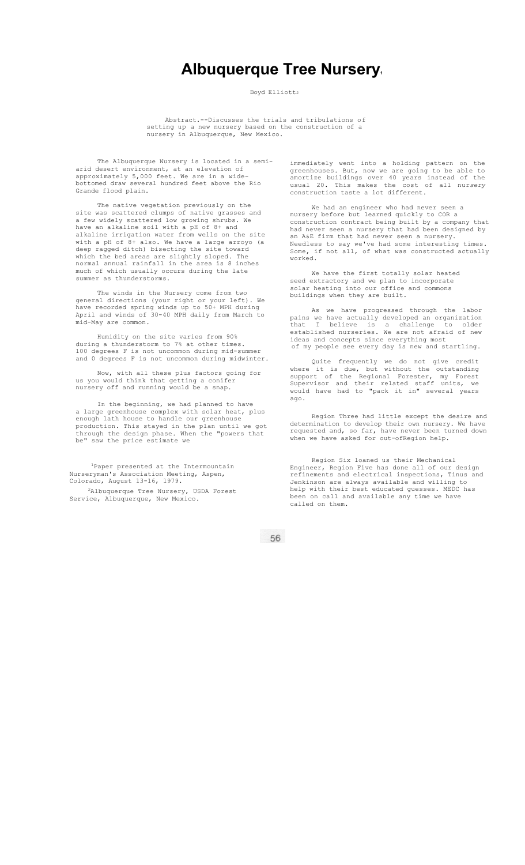## **Albuquerque Tree Nursery.**

Boyd Elliott2

Abstract.--Discusses the trials and tribulations of setting up a new nursery based on the construction of a nursery in Albuquerque, New Mexico.

The Albuquerque Nursery is located in a semiarid desert environment, at an elevation of approximately 5,000 feet. We are in a widebottomed draw several hundred feet above the Rio Grande flood plain.

The native vegetation previously on the site was scattered clumps of native grasses and a few widely scattered low growing shrubs. We have an alkaline soil with a pH of 8+ and alkaline irrigation water from wells on the site with a pH of 8+ also. We have a large arroyo (a deep ragged ditch) bisecting the site toward which the bed areas are slightly sloped. The normal annual rainfall in the area is 8 inches much of which usually occurs during the late summer as thunderstorms.

The winds in the Nursery come from two general directions (your right or your left). We have recorded spring winds up to 50+ MPH during April and winds of 30-40 MPH daily from March to mid-May are common.

Humidity on the site varies from 90% during a thunderstorm to 7% at other times. 100 degrees F is not uncommon during mid-summer and 0 degrees F is not uncommon during midwinter.

Now, with all these plus factors going for us you would think that getting a conifer nursery off and running would be a snap.

In the beginning, we had planned to have a large greenhouse complex with solar heat, plus enough lath house to handle our greenhouse production. This stayed in the plan until we got through the design phase. When the "powers that be" saw the price estimate we

<sup>1</sup>Paper presented at the Intermountain Nurseryman's Association Meeting, Aspen, Colorado, August 13-16, 1979.

2Albuquerque Tree Nursery, USDA Forest Service, Albuquerque, New Mexico.

immediately went into a holding pattern on the greenhouses. But, now we are going to be able to amortize buildings over 40 years instead of the usual 20. This makes the cost of all nur*sery*  construction taste a lot different.

We had an engineer who had never seen a nursery before but learned quickly to COR a construction contract being built by a company that had never seen a nursery that had been designed by an A&E firm that had never seen a nursery. Needless to say we've had some interesting times. Some, if not all, of what was constructed actually worked.

We have the first totally solar heated seed extractory and we plan to incorporate solar heating into our office and commons buildings when they are built.

As we have progressed through the labor pains we have actually developed an organization that I believe is a challenge to older established nurseries. We are not afraid of new ideas and concepts since everything most of my people see every day is new and startling.

Quite frequently we do not give credit where it is due, but without the outstanding support of the Regional Forester, my Forest Supervisor and their related staff units, we would have had to "pack it in" several years ago.

Region Three had little except the desire and determination to develop their own nursery. We have requested and, so far, have never been turned down when we have asked for out-ofRegion help.

Region Six loaned us their Mechanical Engineer, Region Five has done all of our design refinements and electrical inspections, Tinus and Jenkinson are always available and willing to help with their best educated guesses. MEDC has been on call and available any time we have called on them.

56